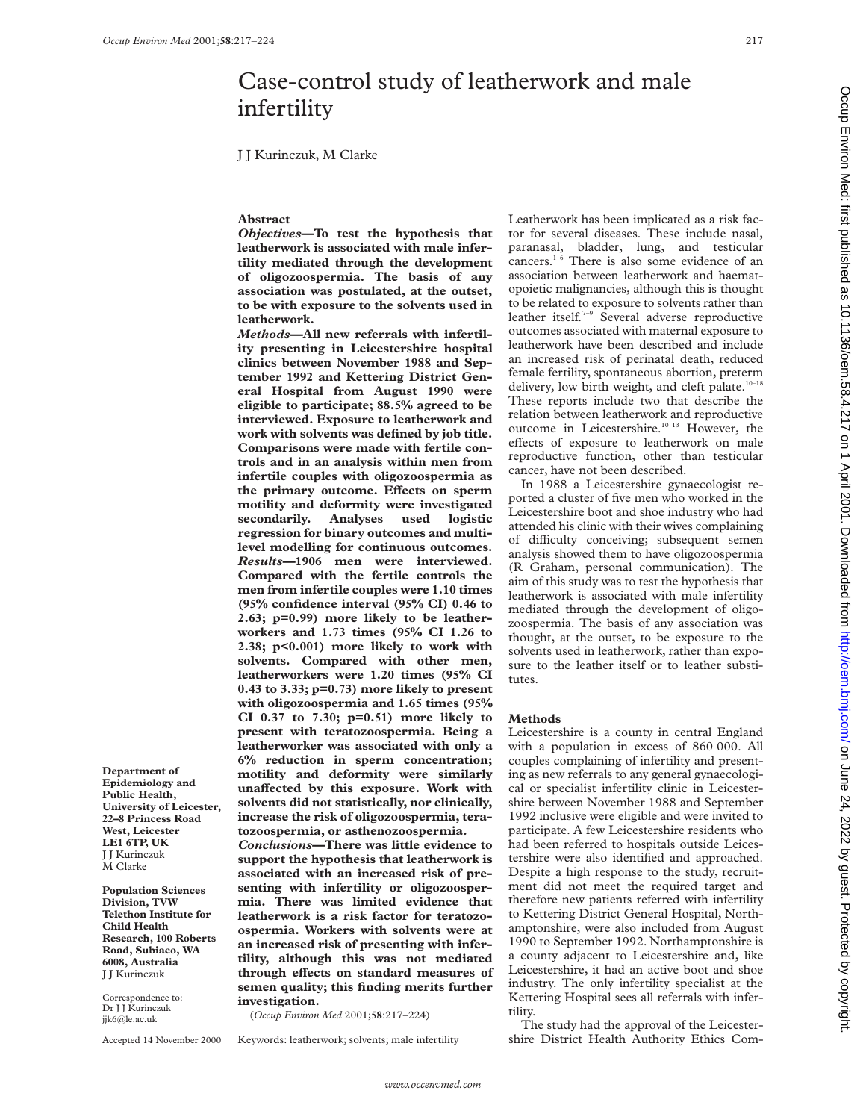# Case-control study of leatherwork and male infertility

J J Kurinczuk, M Clarke

# **Abstract**

*Objectives***—To test the hypothesis that leatherwork is associated with male infertility mediated through the development of oligozoospermia. The basis of any association was postulated, at the outset, to be with exposure to the solvents used in leatherwork.**

*Methods***—All new referrals with infertility presenting in Leicestershire hospital clinics between November 1988 and September 1992 and Kettering District General Hospital from August 1990 were eligible to participate; 88.5% agreed to be interviewed. Exposure to leatherwork and work with solvents was defined by job title. Comparisons were made with fertile controls and in an analysis within men from infertile couples with oligozoospermia as** the primary outcome. Effects on sperm **motility and deformity were investigated secondarily. Analyses used logistic regression for binary outcomes and multilevel modelling for continuous outcomes.** *Results***—1906 men were interviewed. Compared with the fertile controls the men from infertile couples were 1.10 times (95% confidence interval (95% CI) 0.46 to 2.63; p=0.99) more likely to be leatherworkers and 1.73 times (95% CI 1.26 to 2.38; p<0.001) more likely to work with solvents. Compared with other men, leatherworkers were 1.20 times (95% CI 0.43 to 3.33; p=0.73) more likely to present with oligozoospermia and 1.65 times (95% CI 0.37 to 7.30; p=0.51) more likely to present with teratozoospermia. Being a leatherworker was associated with only a 6% reduction in sperm concentration; motility and deformity were similarly** unaffected by this exposure. Work with **solvents did not statistically, nor clinically, increase the risk of oligozoospermia, teratozoospermia, or asthenozoospermia.** *Conclusions***—There was little evidence to support the hypothesis that leatherwork is associated with an increased risk of presenting with infertility or oligozoospermia. There was limited evidence that leatherwork is a risk factor for teratozoospermia. Workers with solvents were at an increased risk of presenting with infertility, although this was not mediated** through effects on standard measures of **semen quality; this finding merits further**

**investigation.** (*Occup Environ Med* 2001;**58**:217–224)

Keywords: leatherwork; solvents; male infertility

Leatherwork has been implicated as a risk factor for several diseases. These include nasal, paranasal, bladder, lung, and testicular cancers.<sup>1–6</sup> There is also some evidence of an association between leatherwork and haematopoietic malignancies, although this is thought to be related to exposure to solvents rather than leather itself*.* 7–9 Several adverse reproductive outcomes associated with maternal exposure to leatherwork have been described and include an increased risk of perinatal death, reduced female fertility, spontaneous abortion, preterm delivery, low birth weight, and cleft palate.<sup>10-18</sup> These reports include two that describe the relation between leatherwork and reproductive outcome in Leicestershire.<sup>10 13</sup> However, the effects of exposure to leatherwork on male reproductive function, other than testicular cancer, have not been described.

In 1988 a Leicestershire gynaecologist reported a cluster of five men who worked in the Leicestershire boot and shoe industry who had attended his clinic with their wives complaining of difficulty conceiving; subsequent semen analysis showed them to have oligozoospermia (R Graham, personal communication). The aim of this study was to test the hypothesis that leatherwork is associated with male infertility mediated through the development of oligozoospermia. The basis of any association was thought, at the outset, to be exposure to the solvents used in leatherwork, rather than exposure to the leather itself or to leather substitutes.

# **Methods**

Leicestershire is a county in central England with a population in excess of 860 000. All couples complaining of infertility and presenting as new referrals to any general gynaecological or specialist infertility clinic in Leicestershire between November 1988 and September 1992 inclusive were eligible and were invited to participate. A few Leicestershire residents who had been referred to hospitals outside Leicestershire were also identified and approached. Despite a high response to the study, recruitment did not meet the required target and therefore new patients referred with infertility to Kettering District General Hospital, Northamptonshire, were also included from August 1990 to September 1992. Northamptonshire is a county adjacent to Leicestershire and, like Leicestershire, it had an active boot and shoe industry. The only infertility specialist at the Kettering Hospital sees all referrals with infertility.

The study had the approval of the Leicestershire District Health Authority Ethics Com-

J J Kurinczuk Correspondence to:

Accepted 14 November 2000

**Population Sciences Division, TVW Telethon Institute for Child Health Research, 100 Roberts Road, Subiaco, WA 6008, Australia**

Dr J J Kurinczuk jik6@le.ac.uk

**Department of Epidemiology and Public Health, University of Leicester, 22–8 Princess Road West, Leicester LE1 6TP, UK** J J Kurinczuk M Clarke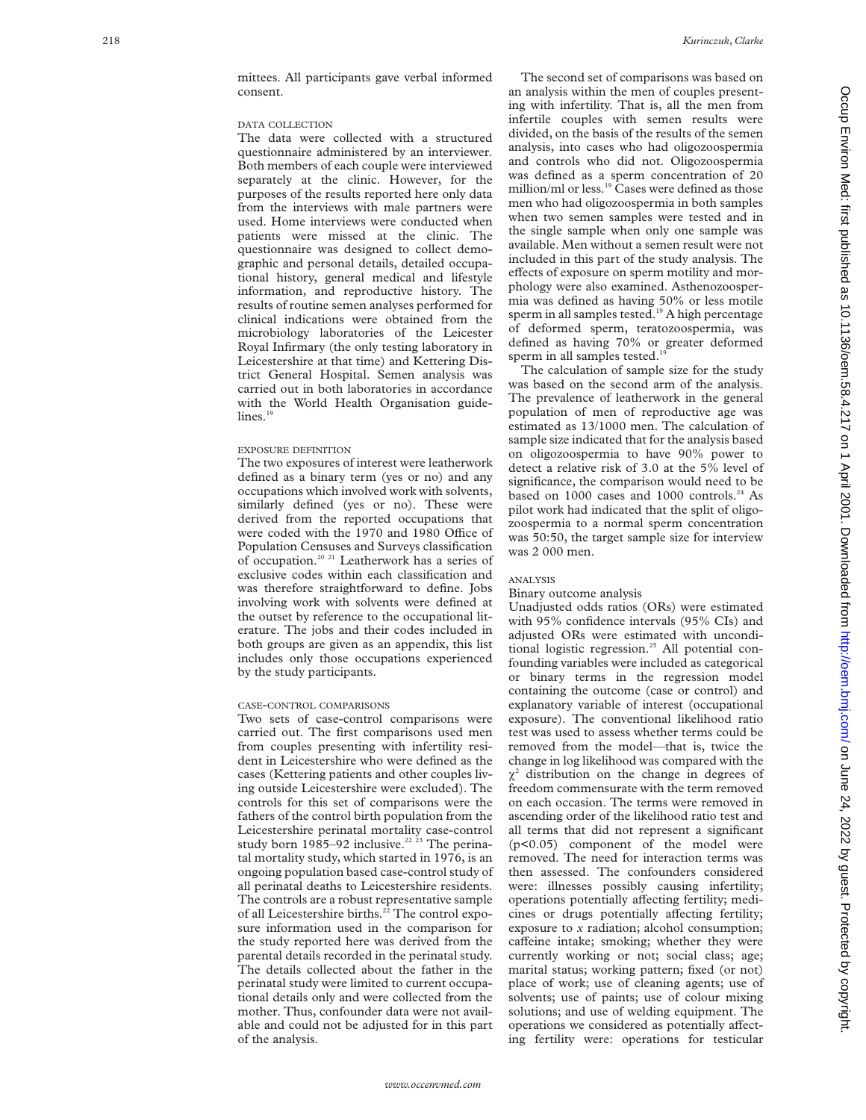# DATA COLLECTION

The data were collected with a structured questionnaire administered by an interviewer. Both members of each couple were interviewed separately at the clinic. However, for the purposes of the results reported here only data from the interviews with male partners were used. Home interviews were conducted when patients were missed at the clinic. The questionnaire was designed to collect demographic and personal details, detailed occupational history, general medical and lifestyle information, and reproductive history. The results of routine semen analyses performed for clinical indications were obtained from the microbiology laboratories of the Leicester Royal Infirmary (the only testing laboratory in Leicestershire at that time) and Kettering District General Hospital. Semen analysis was carried out in both laboratories in accordance with the World Health Organisation guidelines.<sup>19</sup>

### EXPOSURE DEFINITION

The two exposures of interest were leatherwork defined as a binary term (yes or no) and any occupations which involved work with solvents, similarly defined (yes or no). These were derived from the reported occupations that were coded with the 1970 and 1980 Office of Population Censuses and Surveys classification of occupation.20 21 Leatherwork has a series of exclusive codes within each classification and was therefore straightforward to define. Jobs involving work with solvents were defined at the outset by reference to the occupational literature. The jobs and their codes included in both groups are given as an appendix, this list includes only those occupations experienced by the study participants.

#### CASE -CONTROL COMPARISONS

Two sets of case-control comparisons were carried out. The first comparisons used men from couples presenting with infertility resident in Leicestershire who were defined as the cases (Kettering patients and other couples living outside Leicestershire were excluded). The controls for this set of comparisons were the fathers of the control birth population from the Leicestershire perinatal mortality case-control study born 1985–92 inclusive.<sup>22 23</sup> The perinatal mortality study, which started in 1976, is an ongoing population based case-control study of all perinatal deaths to Leicestershire residents. The controls are a robust representative sample of all Leicestershire births.<sup>22</sup> The control exposure information used in the comparison for the study reported here was derived from the parental details recorded in the perinatal study. The details collected about the father in the perinatal study were limited to current occupational details only and were collected from the mother. Thus, confounder data were not available and could not be adjusted for in this part of the analysis.

The second set of comparisons was based on an analysis within the men of couples presenting with infertility. That is, all the men from infertile couples with semen results were divided, on the basis of the results of the semen analysis, into cases who had oligozoospermia and controls who did not. Oligozoospermia was defined as a sperm concentration of 20 million/ml or less.<sup>19</sup> Cases were defined as those men who had oligozoospermia in both samples when two semen samples were tested and in the single sample when only one sample was available. Men without a semen result were not included in this part of the study analysis. The effects of exposure on sperm motility and morphology were also examined. Asthenozoospermia was defined as having 50% or less motile sperm in all samples tested.<sup>19</sup> A high percentage of deformed sperm, teratozoospermia, was defined as having 70% or greater deformed sperm in all samples tested.<sup>19</sup>

The calculation of sample size for the study was based on the second arm of the analysis. The prevalence of leatherwork in the general population of men of reproductive age was estimated as 13/1000 men. The calculation of sample size indicated that for the analysis based on oligozoospermia to have 90% power to detect a relative risk of 3.0 at the 5% level of significance, the comparison would need to be based on 1000 cases and 1000 controls.<sup>24</sup> As pilot work had indicated that the split of oligozoospermia to a normal sperm concentration was 50:50, the target sample size for interview was 2 000 men.

#### ANALYSIS

#### Binary outcome analysis

Unadjusted odds ratios (ORs) were estimated with 95% confidence intervals (95% CIs) and adjusted ORs were estimated with unconditional logistic regression.<sup>25</sup> All potential confounding variables were included as categorical or binary terms in the regression model containing the outcome (case or control) and explanatory variable of interest (occupational exposure). The conventional likelihood ratio test was used to assess whether terms could be removed from the model—that is, twice the change in log likelihood was compared with the  $\chi^2$  distribution on the change in degrees of freedom commensurate with the term removed on each occasion. The terms were removed in ascending order of the likelihood ratio test and all terms that did not represent a significant (p<0.05) component of the model were removed. The need for interaction terms was then assessed. The confounders considered were: illnesses possibly causing infertility; operations potentially affecting fertility; medicines or drugs potentially affecting fertility; exposure to *x* radiation; alcohol consumption; caffeine intake; smoking; whether they were currently working or not; social class; age; marital status; working pattern; fixed (or not) place of work; use of cleaning agents; use of solvents; use of paints; use of colour mixing solutions; and use of welding equipment. The operations we considered as potentially affecting fertility were: operations for testicular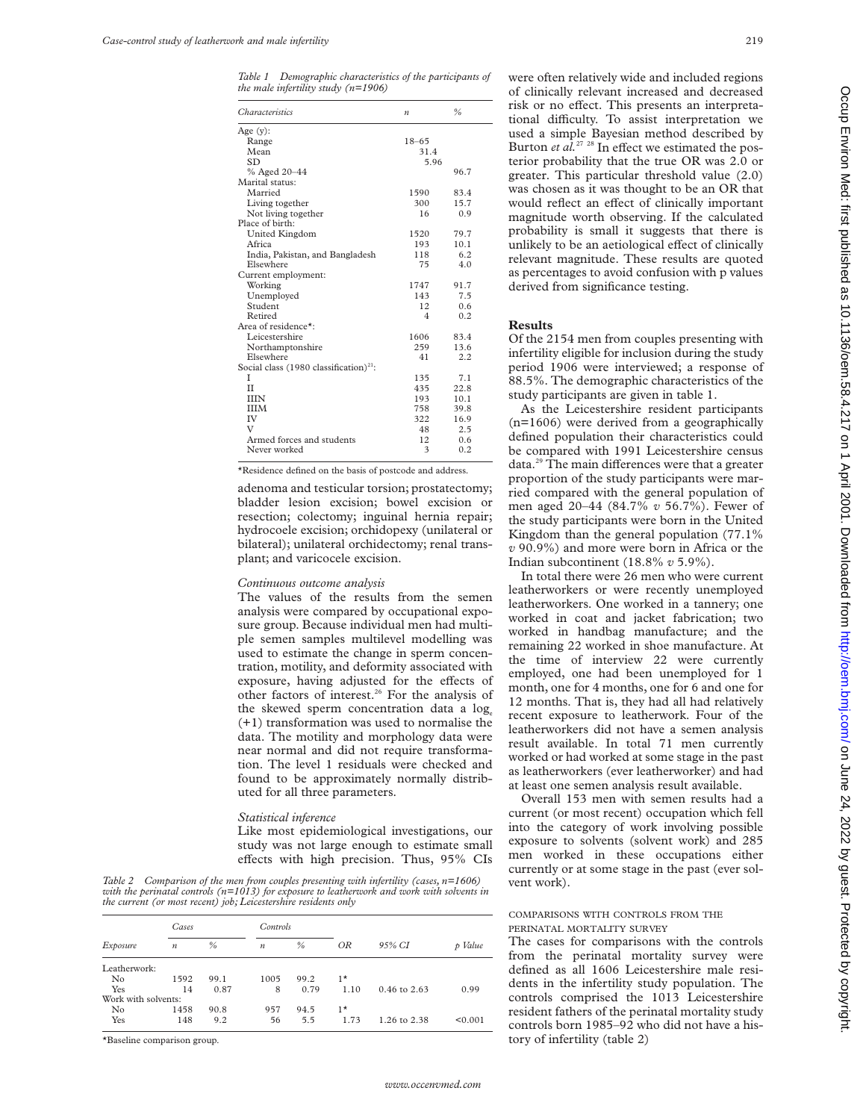*Table 1 Demographic characteristics of the participants of the male infertility study (n=1906)*

| Age $(y)$ :<br>$18 - 65$<br>Range<br>Mean<br>31.4<br>5.96<br><b>SD</b><br>% Aged 20-44<br>96.7<br>Marital status:<br>Married<br>1590<br>83.4<br>300<br>15.7<br>Living together<br>Not living together<br>16<br>0.9<br>Place of birth:<br>79.7<br>United Kingdom<br>1520<br>Africa<br>193<br>10.1<br>118<br>6.2<br>India, Pakistan, and Bangladesh<br>Elsewhere<br>75<br>4.0<br>Current employment:<br>91.7<br>Working<br>1747<br>7.5<br>143<br>Unemployed<br>Student<br>0.6<br>12.<br>Retired<br>0.2<br>4<br>Area of residence*:<br>1606<br>Leicestershire<br>83.4<br>Northamptonshire<br>259<br>13.6<br>Elsewhere<br>41<br>2.2<br>Social class (1980 classification) <sup>21</sup> :<br>T<br>135<br>7.1<br>$_{\text{II}}$<br>435<br>22.8<br>193<br>10.1<br><b>IIIN</b><br><b>IIIM</b><br>758<br>39.8<br>IV<br>322<br>16.9<br>V<br>48<br>2.5<br>Armed forces and students<br>12.<br>0.6<br>3<br>0.2<br>Never worked | <i>Characteristics</i> | $\boldsymbol{n}$ | $\frac{0}{0}$ |  |
|---------------------------------------------------------------------------------------------------------------------------------------------------------------------------------------------------------------------------------------------------------------------------------------------------------------------------------------------------------------------------------------------------------------------------------------------------------------------------------------------------------------------------------------------------------------------------------------------------------------------------------------------------------------------------------------------------------------------------------------------------------------------------------------------------------------------------------------------------------------------------------------------------------------------|------------------------|------------------|---------------|--|
|                                                                                                                                                                                                                                                                                                                                                                                                                                                                                                                                                                                                                                                                                                                                                                                                                                                                                                                     |                        |                  |               |  |
|                                                                                                                                                                                                                                                                                                                                                                                                                                                                                                                                                                                                                                                                                                                                                                                                                                                                                                                     |                        |                  |               |  |
|                                                                                                                                                                                                                                                                                                                                                                                                                                                                                                                                                                                                                                                                                                                                                                                                                                                                                                                     |                        |                  |               |  |
|                                                                                                                                                                                                                                                                                                                                                                                                                                                                                                                                                                                                                                                                                                                                                                                                                                                                                                                     |                        |                  |               |  |
|                                                                                                                                                                                                                                                                                                                                                                                                                                                                                                                                                                                                                                                                                                                                                                                                                                                                                                                     |                        |                  |               |  |
|                                                                                                                                                                                                                                                                                                                                                                                                                                                                                                                                                                                                                                                                                                                                                                                                                                                                                                                     |                        |                  |               |  |
|                                                                                                                                                                                                                                                                                                                                                                                                                                                                                                                                                                                                                                                                                                                                                                                                                                                                                                                     |                        |                  |               |  |
|                                                                                                                                                                                                                                                                                                                                                                                                                                                                                                                                                                                                                                                                                                                                                                                                                                                                                                                     |                        |                  |               |  |
|                                                                                                                                                                                                                                                                                                                                                                                                                                                                                                                                                                                                                                                                                                                                                                                                                                                                                                                     |                        |                  |               |  |
|                                                                                                                                                                                                                                                                                                                                                                                                                                                                                                                                                                                                                                                                                                                                                                                                                                                                                                                     |                        |                  |               |  |
|                                                                                                                                                                                                                                                                                                                                                                                                                                                                                                                                                                                                                                                                                                                                                                                                                                                                                                                     |                        |                  |               |  |
|                                                                                                                                                                                                                                                                                                                                                                                                                                                                                                                                                                                                                                                                                                                                                                                                                                                                                                                     |                        |                  |               |  |
|                                                                                                                                                                                                                                                                                                                                                                                                                                                                                                                                                                                                                                                                                                                                                                                                                                                                                                                     |                        |                  |               |  |
|                                                                                                                                                                                                                                                                                                                                                                                                                                                                                                                                                                                                                                                                                                                                                                                                                                                                                                                     |                        |                  |               |  |
|                                                                                                                                                                                                                                                                                                                                                                                                                                                                                                                                                                                                                                                                                                                                                                                                                                                                                                                     |                        |                  |               |  |
|                                                                                                                                                                                                                                                                                                                                                                                                                                                                                                                                                                                                                                                                                                                                                                                                                                                                                                                     |                        |                  |               |  |
|                                                                                                                                                                                                                                                                                                                                                                                                                                                                                                                                                                                                                                                                                                                                                                                                                                                                                                                     |                        |                  |               |  |
|                                                                                                                                                                                                                                                                                                                                                                                                                                                                                                                                                                                                                                                                                                                                                                                                                                                                                                                     |                        |                  |               |  |
|                                                                                                                                                                                                                                                                                                                                                                                                                                                                                                                                                                                                                                                                                                                                                                                                                                                                                                                     |                        |                  |               |  |
|                                                                                                                                                                                                                                                                                                                                                                                                                                                                                                                                                                                                                                                                                                                                                                                                                                                                                                                     |                        |                  |               |  |
|                                                                                                                                                                                                                                                                                                                                                                                                                                                                                                                                                                                                                                                                                                                                                                                                                                                                                                                     |                        |                  |               |  |
|                                                                                                                                                                                                                                                                                                                                                                                                                                                                                                                                                                                                                                                                                                                                                                                                                                                                                                                     |                        |                  |               |  |
|                                                                                                                                                                                                                                                                                                                                                                                                                                                                                                                                                                                                                                                                                                                                                                                                                                                                                                                     |                        |                  |               |  |
|                                                                                                                                                                                                                                                                                                                                                                                                                                                                                                                                                                                                                                                                                                                                                                                                                                                                                                                     |                        |                  |               |  |
|                                                                                                                                                                                                                                                                                                                                                                                                                                                                                                                                                                                                                                                                                                                                                                                                                                                                                                                     |                        |                  |               |  |
|                                                                                                                                                                                                                                                                                                                                                                                                                                                                                                                                                                                                                                                                                                                                                                                                                                                                                                                     |                        |                  |               |  |
|                                                                                                                                                                                                                                                                                                                                                                                                                                                                                                                                                                                                                                                                                                                                                                                                                                                                                                                     |                        |                  |               |  |
|                                                                                                                                                                                                                                                                                                                                                                                                                                                                                                                                                                                                                                                                                                                                                                                                                                                                                                                     |                        |                  |               |  |
|                                                                                                                                                                                                                                                                                                                                                                                                                                                                                                                                                                                                                                                                                                                                                                                                                                                                                                                     |                        |                  |               |  |
|                                                                                                                                                                                                                                                                                                                                                                                                                                                                                                                                                                                                                                                                                                                                                                                                                                                                                                                     |                        |                  |               |  |
|                                                                                                                                                                                                                                                                                                                                                                                                                                                                                                                                                                                                                                                                                                                                                                                                                                                                                                                     |                        |                  |               |  |
|                                                                                                                                                                                                                                                                                                                                                                                                                                                                                                                                                                                                                                                                                                                                                                                                                                                                                                                     |                        |                  |               |  |

\*Residence defined on the basis of postcode and address.

adenoma and testicular torsion; prostatectomy; bladder lesion excision; bowel excision or resection; colectomy; inguinal hernia repair; hydrocoele excision; orchidopexy (unilateral or bilateral); unilateral orchidectomy; renal transplant; and varicocele excision.

#### *Continuous outcome analysis*

The values of the results from the semen analysis were compared by occupational exposure group. Because individual men had multiple semen samples multilevel modelling was used to estimate the change in sperm concentration, motility, and deformity associated with exposure, having adjusted for the effects of other factors of interest.26 For the analysis of the skewed sperm concentration data a log. (+1) transformation was used to normalise the data. The motility and morphology data were near normal and did not require transformation. The level 1 residuals were checked and found to be approximately normally distributed for all three parameters.

#### *Statistical inference*

Like most epidemiological investigations, our study was not large enough to estimate small effects with high precision. Thus, 95% CIs

*Table 2 Comparison of the men from couples presenting with infertility (cases, n=1606) with the perinatal controls (n=1013) for exposure to leatherwork and work with solvents in the current (or most recent) job; Leicestershire residents only*

|                     | Cases            |      |                  | Controls |      |                |         |
|---------------------|------------------|------|------------------|----------|------|----------------|---------|
| Exposure            | $\boldsymbol{n}$ | $\%$ | $\boldsymbol{n}$ | $\%$     | OR   | 95% CI         | p Value |
| Leatherwork:        |                  |      |                  |          |      |                |         |
| N <sub>0</sub>      | 1592             | 99.1 | 1005             | 99.2     | $1*$ |                |         |
| Yes                 | 14               | 0.87 | 8                | 0.79     | 1.10 | $0.46$ to 2.63 | 0.99    |
| Work with solvents: |                  |      |                  |          |      |                |         |
| No                  | 1458             | 90.8 | 957              | 94.5     | $1*$ |                |         |
| Yes                 | 148              | 9.2  | 56               | 5.5      | 1.73 | 1.26 to 2.38   | < 0.001 |

\*Baseline comparison group.

were often relatively wide and included regions of clinically relevant increased and decreased risk or no effect. This presents an interpretational difficulty. To assist interpretation we used a simple Bayesian method described by Burton *et al.*<sup>27</sup> <sup>28</sup> In effect we estimated the posterior probability that the true OR was 2.0 or greater. This particular threshold value (2.0) was chosen as it was thought to be an OR that would reflect an effect of clinically important magnitude worth observing. If the calculated probability is small it suggests that there is unlikely to be an aetiological effect of clinically relevant magnitude. These results are quoted as percentages to avoid confusion with p values derived from significance testing.

#### **Results**

Of the 2154 men from couples presenting with infertility eligible for inclusion during the study period 1906 were interviewed; a response of 88.5%. The demographic characteristics of the study participants are given in table 1.

As the Leicestershire resident participants (n=1606) were derived from a geographically defined population their characteristics could be compared with 1991 Leicestershire census data.<sup>29</sup> The main differences were that a greater proportion of the study participants were married compared with the general population of men aged 20–44 (84.7% *v* 56.7%). Fewer of the study participants were born in the United Kingdom than the general population (77.1% *v* 90.9%) and more were born in Africa or the Indian subcontinent (18.8% *v* 5.9%).

In total there were 26 men who were current leatherworkers or were recently unemployed leatherworkers. One worked in a tannery; one worked in coat and jacket fabrication; two worked in handbag manufacture; and the remaining 22 worked in shoe manufacture. At the time of interview 22 were currently employed, one had been unemployed for 1 month, one for 4 months, one for 6 and one for 12 months. That is, they had all had relatively recent exposure to leatherwork. Four of the leatherworkers did not have a semen analysis result available. In total 71 men currently worked or had worked at some stage in the past as leatherworkers (ever leatherworker) and had at least one semen analysis result available.

Overall 153 men with semen results had a current (or most recent) occupation which fell into the category of work involving possible exposure to solvents (solvent work) and 285 men worked in these occupations either currently or at some stage in the past (ever solvent work).

### COMPARISONS WITH CONTROLS FROM THE PERINATAL MORTALITY SURVEY

The cases for comparisons with the controls from the perinatal mortality survey were defined as all 1606 Leicestershire male residents in the infertility study population. The controls comprised the 1013 Leicestershire resident fathers of the perinatal mortality study controls born 1985–92 who did not have a history of infertility (table 2)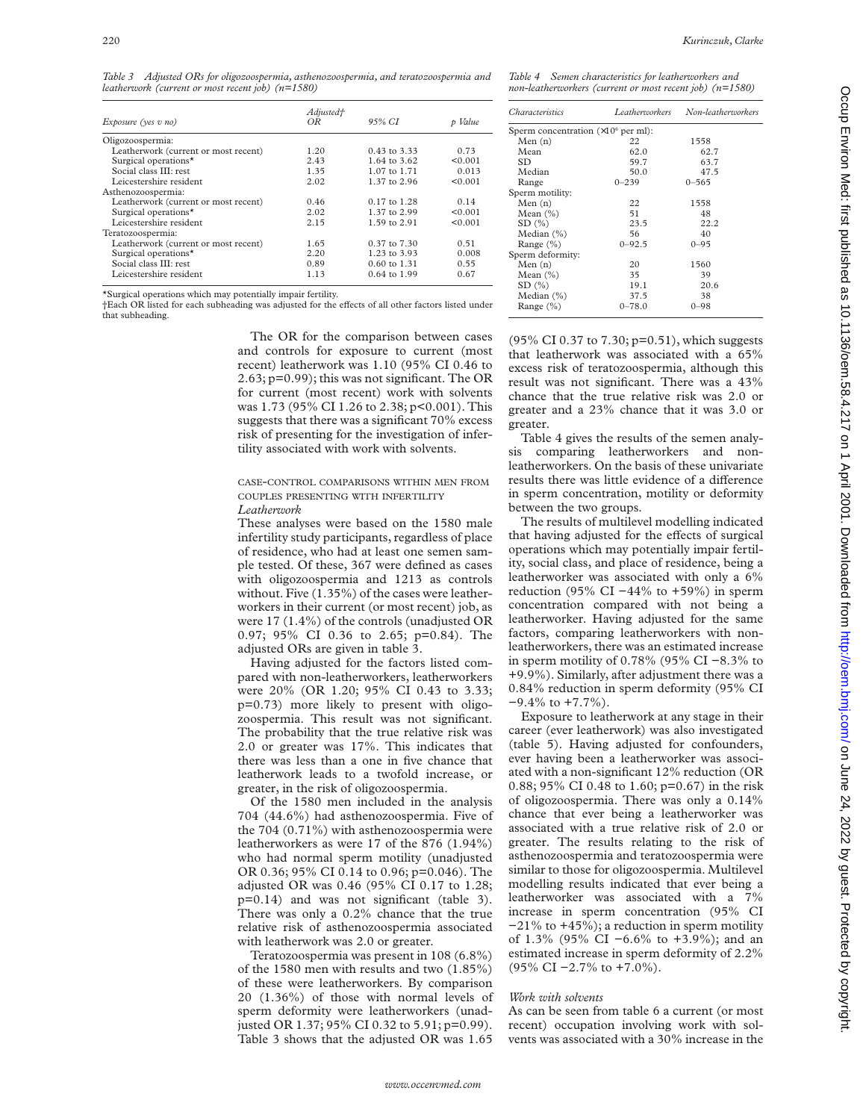*Table 3 Adjusted ORs for oligozoospermia, asthenozoospermia, and teratozoospermia and leatherwork (current or most recent job) (n=1580)*

| Exposure (yes v no)                  | Adjusted†<br>ΟR | 95% CI           | p Value |
|--------------------------------------|-----------------|------------------|---------|
| Oligozoospermia:                     |                 |                  |         |
| Leatherwork (current or most recent) | 1.20            | 0.43 to 3.33     | 0.73    |
| Surgical operations <sup>*</sup>     | 2.43            | 1.64 to 3.62     | < 0.001 |
| Social class III: rest               | 1.35            | 1.07 to 1.71     | 0.013   |
| Leicestershire resident              | 2.02            | 1.37 to 2.96     | < 0.001 |
| Asthenozoospermia:                   |                 |                  |         |
| Leatherwork (current or most recent) | 0.46            | $0.17$ to $1.28$ | 0.14    |
| Surgical operations <sup>*</sup>     | 2.02            | 1.37 to 2.99     | < 0.001 |
| Leicestershire resident              | 2.15            | 1.59 to 2.91     | < 0.001 |
| Teratozoospermia:                    |                 |                  |         |
| Leatherwork (current or most recent) | 1.65            | $0.37$ to $7.30$ | 0.51    |
| Surgical operations*                 | 2.20            | 1.23 to 3.93     | 0.008   |
| Social class III: rest               | 0.89            | 0.60 to 1.31     | 0.55    |
| Leicestershire resident              | 1.13            | 0.64 to 1.99     | 0.67    |

\*Surgical operations which may potentially impair fertility.

†Each OR listed for each subheading was adjusted for the effects of all other factors listed under that subheading.

> The OR for the comparison between cases and controls for exposure to current (most recent) leatherwork was 1.10 (95% CI 0.46 to 2.63; p=0.99); this was not significant. The OR for current (most recent) work with solvents was 1.73 (95% CI 1.26 to 2.38; p<0.001). This suggests that there was a significant 70% excess risk of presenting for the investigation of infertility associated with work with solvents.

#### CASE-CONTROL COMPARISONS WITHIN MEN FROM COUPLES PRESENTING WITH INFERTILITY *Leatherwork*

These analyses were based on the 1580 male infertility study participants, regardless of place of residence, who had at least one semen sample tested. Of these, 367 were defined as cases with oligozoospermia and 1213 as controls without. Five (1.35%) of the cases were leatherworkers in their current (or most recent) job, as were 17 (1.4%) of the controls (unadjusted OR 0.97; 95% CI 0.36 to 2.65; p=0.84). The adjusted ORs are given in table 3.

Having adjusted for the factors listed compared with non-leatherworkers, leatherworkers were 20% (OR 1.20; 95% CI 0.43 to 3.33; p=0.73) more likely to present with oligozoospermia. This result was not significant. The probability that the true relative risk was 2.0 or greater was 17%. This indicates that there was less than a one in five chance that leatherwork leads to a twofold increase, or greater, in the risk of oligozoospermia.

Of the 1580 men included in the analysis 704 (44.6%) had asthenozoospermia. Five of the 704 (0.71%) with asthenozoospermia were leatherworkers as were 17 of the 876 (1.94%) who had normal sperm motility (unadjusted OR 0.36; 95% CI 0.14 to 0.96; p=0.046). The adjusted OR was 0.46 (95% CI 0.17 to 1.28; p=0.14) and was not significant (table 3). There was only a 0.2% chance that the true relative risk of asthenozoospermia associated with leatherwork was 2.0 or greater.

Teratozoospermia was present in 108 (6.8%) of the 1580 men with results and two (1.85%) of these were leatherworkers. By comparison 20 (1.36%) of those with normal levels of sperm deformity were leatherworkers (unadjusted OR 1.37; 95% CI 0.32 to 5.91; p=0.99). Table 3 shows that the adjusted OR was 1.65

*Table 4 Semen characteristics for leatherworkers and non-leatherworkers (current or most recent job) (n=1580)*

| <i>Characteristics</i>                      | <b>Leatherworkers</b> | Non-leatherworkers |
|---------------------------------------------|-----------------------|--------------------|
| Sperm concentration $(\times 10^6$ per ml): |                       |                    |
| Men(n)                                      | 22                    | 1558               |
| Mean                                        | 62.0                  | 62.7               |
| SD.                                         | 59.7                  | 63.7               |
| Median                                      | 50.0                  | 47.5               |
| Range                                       | $0 - 239$             | $0 - 565$          |
| Sperm motility:                             |                       |                    |
| Men(n)                                      | 22                    | 1558               |
| Mean $(\% )$                                | 51                    | 48                 |
| SD(%)                                       | 23.5                  | 22.2               |
| Median $(\% )$                              | 56                    | 40                 |
| Range $(\% )$                               | $0 - 92.5$            | $0 - 95$           |
| Sperm deformity:                            |                       |                    |
| Men(n)                                      | 20                    | 1560               |
| Mean $(\% )$                                | 35                    | 39                 |
| SD(%)                                       | 19.1                  | 20.6               |
| Median $(\% )$                              | 37.5                  | 38                 |
| Range $(\% )$                               | $0 - 78.0$            | $0 - 98$           |

(95% CI 0.37 to 7.30; p=0.51), which suggests that leatherwork was associated with a 65% excess risk of teratozoospermia, although this result was not significant. There was a 43% chance that the true relative risk was 2.0 or greater and a 23% chance that it was 3.0 or greater.

Table 4 gives the results of the semen analysis comparing leatherworkers and nonleatherworkers. On the basis of these univariate results there was little evidence of a difference in sperm concentration, motility or deformity between the two groups.

The results of multilevel modelling indicated that having adjusted for the effects of surgical operations which may potentially impair fertility, social class, and place of residence, being a leatherworker was associated with only a 6% reduction (95% CI  $-44%$  to +59%) in sperm concentration compared with not being a leatherworker. Having adjusted for the same factors, comparing leatherworkers with nonleatherworkers, there was an estimated increase in sperm motility of 0.78% (95% CI −8.3% to +9.9%). Similarly, after adjustment there was a 0.84% reduction in sperm deformity (95% CI −9.4% to +7.7%).

Exposure to leatherwork at any stage in their career (ever leatherwork) was also investigated (table 5). Having adjusted for confounders, ever having been a leatherworker was associated with a non-significant 12% reduction (OR 0.88; 95% CI 0.48 to 1.60; p=0.67) in the risk of oligozoospermia. There was only a 0.14% chance that ever being a leatherworker was associated with a true relative risk of 2.0 or greater. The results relating to the risk of asthenozoospermia and teratozoospermia were similar to those for oligozoospermia. Multilevel modelling results indicated that ever being a leatherworker was associated with a 7% increase in sperm concentration (95% CI −21% to +45%); a reduction in sperm motility of 1.3% (95% CI −6.6% to +3.9%); and an estimated increase in sperm deformity of 2.2% (95% CI −2.7% to +7.0%).

# *Work with solvents*

As can be seen from table 6 a current (or most recent) occupation involving work with solvents was associated with a 30% increase in the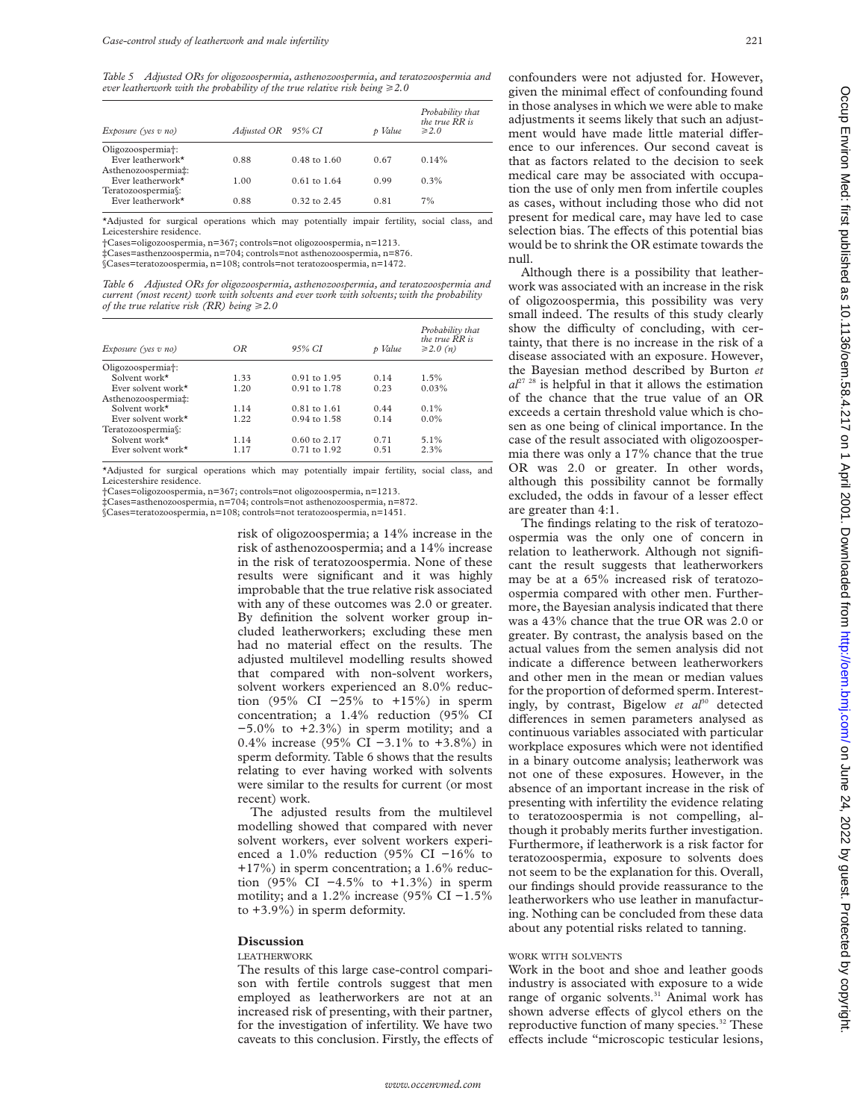*Table 5 Adjusted ORs for oligozoospermia, asthenozoospermia, and teratozoospermia and ever leatherwork with the probability of the true relative risk being*  $\geq$  2.0

| Exposure (yes v no)            | Adjusted OR 95% CI |                         | p Value | Probability that<br>the true RR is<br>$\geq 2.0$ |
|--------------------------------|--------------------|-------------------------|---------|--------------------------------------------------|
| Oligozoospermia <sup>+</sup> : |                    |                         |         |                                                  |
| Ever leatherwork*              | 0.88               | $0.48 \text{ to } 1.60$ | 0.67    | 0.14%                                            |
| Asthenozoospermia‡:            |                    |                         |         |                                                  |
| Ever leatherwork $\star$       | 1.00               | $0.61$ to $1.64$        | 0.99    | $0.3\%$                                          |
| Teratozoospermia\:             |                    |                         |         |                                                  |
| Ever leatherwork $\star$       | 0.88               | $0.32$ to $2.45$        | 0.81    | 7%                                               |
|                                |                    |                         |         |                                                  |

\*Adjusted for surgical operations which may potentially impair fertility, social class, and Leicestershire residence.

†Cases=oligozoospermia, n=367; controls=not oligozoospermia, n=1213.

‡Cases=asthenzoospermia, n=704; controls=not asthenozoospermia, n=876. §Cases=teratozoospermia, n=108; controls=not teratozoospermia, n=1472.

*Table 6 Adjusted ORs for oligozoospermia, asthenozoospermia, and teratozoospermia and current (most recent) work with solvents and ever work with solvents; with the probability of the true relative risk (RR) being*  $\geq$  2.0

|                           |      |                         |         | Probability that<br>the true $\overline{RR}$ is |
|---------------------------|------|-------------------------|---------|-------------------------------------------------|
| Exposure (yes v no)       | OR   | 95% CI                  | p Value | $\geq$ 2.0 (n)                                  |
| Oligozoospermia†:         |      |                         |         |                                                 |
| Solvent work*             | 1.33 | $0.91$ to $1.95$        | 0.14    | 1.5%                                            |
| Ever solvent work $\star$ | 1.20 | $0.91$ to $1.78$        | 0.23    | 0.03%                                           |
| Asthenozoospermia‡:       |      |                         |         |                                                 |
| Solvent work*             | 1.14 | $0.81$ to $1.61$        | 0.44    | $0.1\%$                                         |
| Ever solvent work $\star$ | 1.22 | $0.94$ to $1.58$        | 0.14    | $0.0\%$                                         |
| Teratozoospermia§:        |      |                         |         |                                                 |
| Solvent work*             | 1.14 | $0.60 \text{ to } 2.17$ | 0.71    | 5.1%                                            |
| Ever solvent work $\star$ | 1.17 | $0.71$ to $1.92$        | 0.51    | 2.3%                                            |

\*Adjusted for surgical operations which may potentially impair fertility, social class, and Leicestershire residence.

†Cases=oligozoospermia, n=367; controls=not oligozoospermia, n=1213.

‡Cases=asthenozoospermia, n=704; controls=not asthenozoospermia, n=872.

§Cases=teratozoospermia, n=108; controls=not teratozoospermia, n=1451.

risk of oligozoospermia; a 14% increase in the risk of asthenozoospermia; and a 14% increase in the risk of teratozoospermia. None of these results were significant and it was highly improbable that the true relative risk associated with any of these outcomes was 2.0 or greater. By definition the solvent worker group included leatherworkers; excluding these men had no material effect on the results. The adjusted multilevel modelling results showed that compared with non-solvent workers, solvent workers experienced an 8.0% reduction (95% CI −25% to +15%) in sperm concentration; a 1.4% reduction (95% CI  $-5.0\%$  to  $+2.3\%$ ) in sperm motility; and a 0.4% increase (95% CI −3.1% to +3.8%) in sperm deformity. Table 6 shows that the results relating to ever having worked with solvents were similar to the results for current (or most recent) work.

The adjusted results from the multilevel modelling showed that compared with never solvent workers, ever solvent workers experienced a 1.0% reduction (95% CI −16% to +17%) in sperm concentration; a 1.6% reduction (95% CI −4.5% to +1.3%) in sperm motility; and a 1.2% increase (95% CI −1.5% to +3.9%) in sperm deformity.

# **Discussion**

# LEATHERWORK

The results of this large case-control comparison with fertile controls suggest that men employed as leatherworkers are not at an increased risk of presenting, with their partner, for the investigation of infertility. We have two caveats to this conclusion. Firstly, the effects of confounders were not adjusted for. However, given the minimal effect of confounding found in those analyses in which we were able to make adjustments it seems likely that such an adjustment would have made little material difference to our inferences. Our second caveat is that as factors related to the decision to seek medical care may be associated with occupation the use of only men from infertile couples as cases, without including those who did not present for medical care, may have led to case selection bias. The effects of this potential bias would be to shrink the OR estimate towards the null.

Although there is a possibility that leatherwork was associated with an increase in the risk of oligozoospermia, this possibility was very small indeed. The results of this study clearly show the difficulty of concluding, with certainty, that there is no increase in the risk of a disease associated with an exposure. However, the Bayesian method described by Burton *et*  $a^{27}$ <sup>28</sup> is helpful in that it allows the estimation of the chance that the true value of an OR exceeds a certain threshold value which is chosen as one being of clinical importance. In the case of the result associated with oligozoospermia there was only a 17% chance that the true OR was 2.0 or greater. In other words, although this possibility cannot be formally excluded, the odds in favour of a lesser effect are greater than 4:1.

The findings relating to the risk of teratozoospermia was the only one of concern in relation to leatherwork. Although not significant the result suggests that leatherworkers may be at a 65% increased risk of teratozoospermia compared with other men. Furthermore, the Bayesian analysis indicated that there was a 43% chance that the true OR was 2.0 or greater. By contrast, the analysis based on the actual values from the semen analysis did not indicate a difference between leatherworkers and other men in the mean or median values for the proportion of deformed sperm. Interestingly, by contrast, Bigelow *et al*<sup>30</sup> detected differences in semen parameters analysed as continuous variables associated with particular workplace exposures which were not identified in a binary outcome analysis; leatherwork was not one of these exposures. However, in the absence of an important increase in the risk of presenting with infertility the evidence relating to teratozoospermia is not compelling, although it probably merits further investigation. Furthermore, if leatherwork is a risk factor for teratozoospermia, exposure to solvents does not seem to be the explanation for this. Overall, our findings should provide reassurance to the leatherworkers who use leather in manufacturing. Nothing can be concluded from these data about any potential risks related to tanning.

# WORK WITH SOLVENTS

Work in the boot and shoe and leather goods industry is associated with exposure to a wide range of organic solvents. $31$  Animal work has shown adverse effects of glycol ethers on the reproductive function of many species.<sup>32</sup> These effects include "microscopic testicular lesions,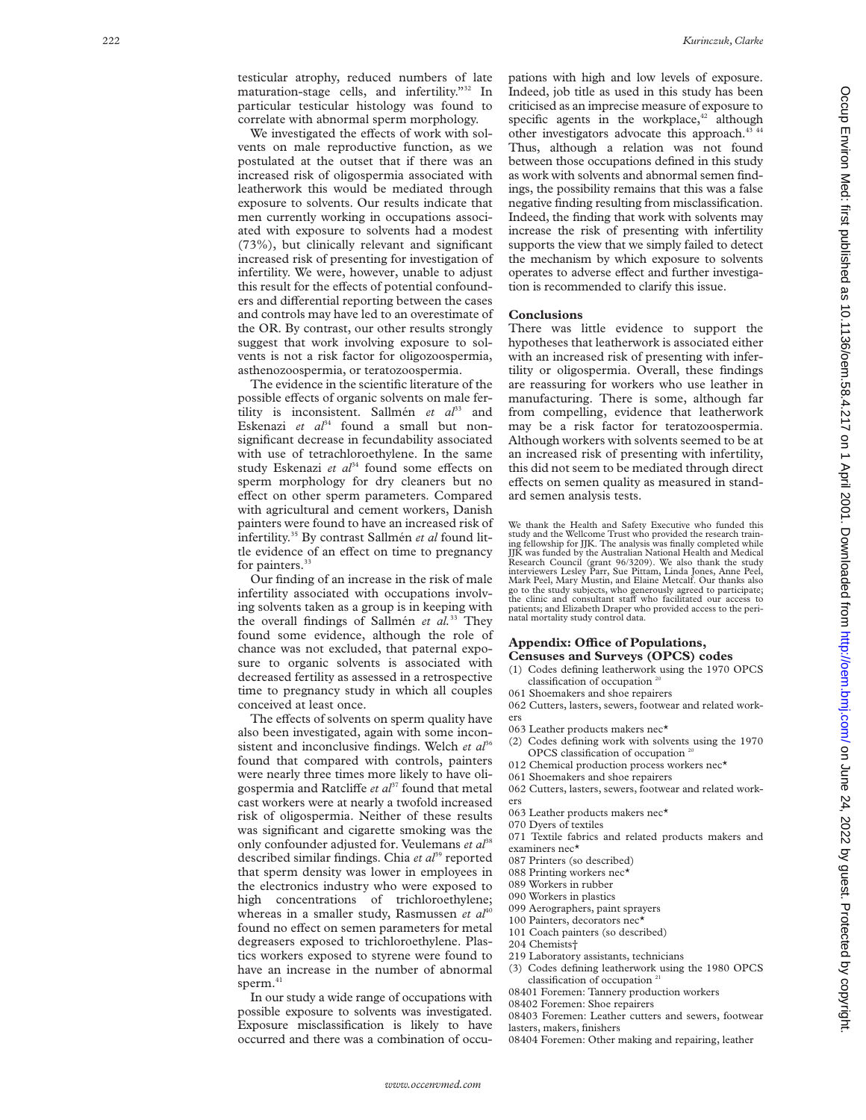testicular atrophy, reduced numbers of late maturation-stage cells, and infertility."32 In particular testicular histology was found to correlate with abnormal sperm morphology.

We investigated the effects of work with solvents on male reproductive function, as we postulated at the outset that if there was an increased risk of oligospermia associated with leatherwork this would be mediated through exposure to solvents. Our results indicate that men currently working in occupations associated with exposure to solvents had a modest (73%), but clinically relevant and significant increased risk of presenting for investigation of infertility. We were, however, unable to adjust this result for the effects of potential confounders and differential reporting between the cases and controls may have led to an overestimate of the OR. By contrast, our other results strongly suggest that work involving exposure to solvents is not a risk factor for oligozoospermia, asthenozoospermia, or teratozoospermia.

The evidence in the scientific literature of the possible effects of organic solvents on male fertility is inconsistent. Sallmén et al<sup>33</sup> and Eskenazi et al<sup>34</sup> found a small but nonsignificant decrease in fecundability associated with use of tetrachloroethylene. In the same study Eskenazi et al<sup>34</sup> found some effects on sperm morphology for dry cleaners but no effect on other sperm parameters. Compared with agricultural and cement workers, Danish painters were found to have an increased risk of infertility.35 By contrast Sallmén *et al* found little evidence of an effect on time to pregnancy for painters.<sup>33</sup>

Our finding of an increase in the risk of male infertility associated with occupations involving solvents taken as a group is in keeping with the overall findings of Sallmén *et al.*<sup>33</sup> They found some evidence, although the role of chance was not excluded, that paternal exposure to organic solvents is associated with decreased fertility as assessed in a retrospective time to pregnancy study in which all couples conceived at least once.

The effects of solvents on sperm quality have also been investigated, again with some inconsistent and inconclusive findings. Welch *et al*<sup>36</sup> found that compared with controls, painters were nearly three times more likely to have oligospermia and Ratcliffe *et al*<sup>37</sup> found that metal cast workers were at nearly a twofold increased risk of oligospermia. Neither of these results was significant and cigarette smoking was the only confounder adjusted for. Veulemans et al<sup>3</sup> described similar findings. Chia et al<sup>39</sup> reported that sperm density was lower in employees in the electronics industry who were exposed to high concentrations of trichloroethylene; whereas in a smaller study, Rasmussen *et al*<sup>40</sup> found no effect on semen parameters for metal degreasers exposed to trichloroethylene. Plastics workers exposed to styrene were found to have an increase in the number of abnormal sperm.<sup>41</sup>

In our study a wide range of occupations with possible exposure to solvents was investigated. Exposure misclassification is likely to have occurred and there was a combination of occupations with high and low levels of exposure. Indeed, job title as used in this study has been criticised as an imprecise measure of exposure to specific agents in the workplace, $42$  although other investigators advocate this approach.<sup>43</sup> Thus, although a relation was not found between those occupations defined in this study as work with solvents and abnormal semen findings, the possibility remains that this was a false negative finding resulting from misclassification. Indeed, the finding that work with solvents may increase the risk of presenting with infertility supports the view that we simply failed to detect the mechanism by which exposure to solvents operates to adverse effect and further investigation is recommended to clarify this issue.

#### **Conclusions**

There was little evidence to support the hypotheses that leatherwork is associated either with an increased risk of presenting with infertility or oligospermia. Overall, these findings are reassuring for workers who use leather in manufacturing. There is some, although far from compelling, evidence that leatherwork may be a risk factor for teratozoospermia. Although workers with solvents seemed to be at an increased risk of presenting with infertility, this did not seem to be mediated through direct effects on semen quality as measured in standard semen analysis tests.

We thank the Health and Safety Executive who funded this study and the Wellcome Trust who provided the research train-ing fellowship for JJK. The analysis was finally completed while JJK was funded by the Australian National Health and Medical Research Council (grant 96/3209). We also thank the study interviewers Lesley Parr, Sue Pittam, Linda Jones, Anne Peel, Mark Peel, Mary Mustin, and Elaine Metcalf. Our thanks also go to the study subjects, who generously agreed to participate; the clinic and consultant staff who facilitated our access to patients; and Elizabeth Draper who provided access to the perinatal mortality study control data.

#### **Appendix: O Yce of Populations, Censuses and Surveys (OPCS) codes**

- (1) Codes defining leatherwork using the 1970 OPCS classification of occupation<sup>2</sup>
- 061 Shoemakers and shoe repairers 062 Cutters, lasters, sewers, footwear and related workers
- 063 Leather products makers nec\*
- (2) Codes defining work with solvents using the 1970 OPCS classification of occupation<sup>2</sup>
- 012 Chemical production process workers nec\*
- 061 Shoemakers and shoe repairers
- 062 Cutters, lasters, sewers, footwear and related workers
- 063 Leather products makers nec\*
- 070 Dyers of textiles
- 071 Textile fabrics and related products makers and examiners nec\*
- 087 Printers (so described)
- 088 Printing workers nec\*
- 089 Workers in rubber
- 090 Workers in plastics
- 099 Aerographers, paint sprayers
- 100 Painters, decorators nec\*
- 101 Coach painters (so described)
- 204 Chemists†
- 
- 219 Laboratory assistants, technicians (3) Codes defining leatherwork using the 1980 OPCS
- classification of occupation<sup>21</sup>
- 08401 Foremen: Tannery production workers 08402 Foremen: Shoe repairers
- 
- 08403 Foremen: Leather cutters and sewers, footwear lasters, makers, finishers
- 08404 Foremen: Other making and repairing, leather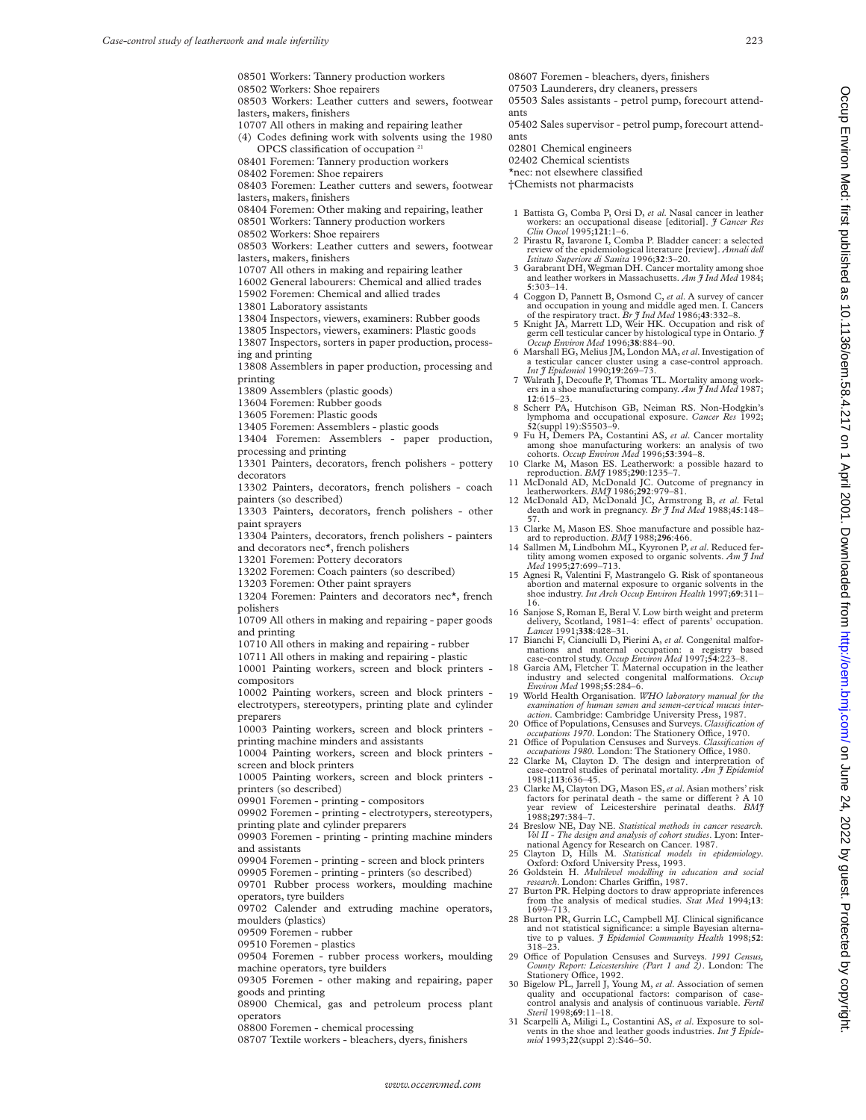Occup Environ Med: first published as 10.1136/oem 58.4.217 on 1 April 2001. Downloaded from http://oem.bmj.com/ on June 24, 2022 by guest. Protected by copyright On June 24, 2022 by guest by guest. Protected by guest and a 10.120 published as 10.111260.1.1500. Downloaded from thin, journline as 10.11366. Protected by copyrighting as 10.1136/oem. Downloaded from thin, journline and

|  | 08501 Workers: Tannery production workers |  |
|--|-------------------------------------------|--|
|  |                                           |  |

- 08502 Workers: Shoe repairers
- 08503 Workers: Leather cutters and sewers, footwear lasters, makers, finishers
- 10707 All others in making and repairing leather
- (4) Codes defining work with solvents using the 1980 OPCS classification of occupation<sup>2</sup>
- 08401 Foremen: Tannery production workers
- 08402 Foremen: Shoe repairers
- 08403 Foremen: Leather cutters and sewers, footwear lasters, makers, finishers
- 08404 Foremen: Other making and repairing, leather
- 08501 Workers: Tannery production workers
- 08502 Workers: Shoe repairers
- 08503 Workers: Leather cutters and sewers, footwear lasters, makers, finishers
- 10707 All others in making and repairing leather
- 16002 General labourers: Chemical and allied trades
- 15902 Foremen: Chemical and allied trades
- 13801 Laboratory assistants
- 13804 Inspectors, viewers, examiners: Rubber goods
- 13805 Inspectors, viewers, examiners: Plastic goods
- 13807 Inspectors, sorters in paper production, process-
- ing and printing
- 13808 Assemblers in paper production, processing and printing
- 
- 13809 Assemblers (plastic goods)
- 13604 Foremen: Rubber goods
- 13605 Foremen: Plastic goods
- 13405 Foremen: Assemblers plastic goods
- 13404 Foremen: Assemblers paper production, processing and printing
- 13301 Painters, decorators, french polishers pottery decorators
- 13302 Painters, decorators, french polishers coach painters (so described)
- 13303 Painters, decorators, french polishers other paint sprayers
- 13304 Painters, decorators, french polishers painters and decorators nec\*, french polishers
- 13201 Foremen: Pottery decorators
- 13202 Foremen: Coach painters (so described)
- 13203 Foremen: Other paint sprayers
- 13204 Foremen: Painters and decorators nec\*, french polishers
- 10709 All others in making and repairing paper goods and printing
- 10710 All others in making and repairing rubber
- 10711 All others in making and repairing plastic
- 10001 Painting workers, screen and block printers compositors
- 10002 Painting workers, screen and block printers electrotypers, stereotypers, printing plate and cylinder preparers
- 10003 Painting workers, screen and block printers printing machine minders and assistants
- 10004 Painting workers, screen and block printers screen and block printers
- 10005 Painting workers, screen and block printers printers (so described)
- 09901 Foremen printing compositors
- 09902 Foremen printing electrotypers, stereotypers, printing plate and cylinder preparers
- 09903 Foremen printing printing machine minders
- and assistants
- 09904 Foremen printing screen and block printers
- 09905 Foremen printing printers (so described)
- 09701 Rubber process workers, moulding machine operators, tyre builders
- 09702 Calender and extruding machine operators,
- moulders (plastics) 09509 Foremen - rubber
- 09510 Foremen plastics
- 
- 09504 Foremen rubber process workers, moulding machine operators, tyre builders
- 09305 Foremen other making and repairing, paper goods and printing
- 08900 Chemical, gas and petroleum process plant operators

*www.occenvmed.com*

- 08800 Foremen chemical processing
- 08707 Textile workers bleachers, dyers, finishers
- 08607 Foremen bleachers, dyers, finishers
- 07503 Launderers, dry cleaners, pressers 05503 Sales assistants - petrol pump, forecourt attend-
- ants
- 05402 Sales supervisor petrol pump, forecourt attendants
- 02801 Chemical engineers
- 02402 Chemical scientists
- \*nec: not elsewhere classified
- †Chemists not pharmacists
- 1 Battista G, Comba P, Orsi D, *et al*. Nasal cancer in leather workers: an occupational disease [editorial]. *J Cancer Res Clin Oncol* 1995;**121**:1–6.
- 2 Pirastu R, Iavarone I, Comba P. Bladder cancer: a selected review of the epidemiological literature [review]. *Annali dell Istituto Superiore di Sanita* 1996;**32**:3–20.
- Garabrant DH, Wegman DH. Cancer mortality among shoe and leather workers in Massachusetts. *Am J Ind Med* 1984;
- **5**:303–14. 4 Coggon D, Pannett B, Osmond C, *et al*. A survey of cancer
- and occupation in young and middle aged men. I. Cancers<br>of the respiratory tract. *Br J Ind Med* 1986;43:332–8.<br>5 Knight JA, Marrett LD, Weir HK. Occupation and risk of<br>germ cell testicular cancer by histological type in
- 6 Marshall EG, Melius JM, London MA,*et al*. Investigation of a testicular cancer cluster using a case-control approach. *Int J Epidemiol* 1990;**19**:269–73.
- 7 Walrath J, Decoufle P, Thomas TL. Mortality among workers in a shoe manufacturing company. *Am J Ind Med* 1987;
- **<sup>12</sup>**:615–23. 8 Scherr PA, Hutchison GB, Neiman RS. Non-Hodgkin's lymphoma and occupational exposure. *Cancer Res* 1992; **52**(suppl 19):S5503–9.
- 9 Fu H, Demers PA, Costantini AS, *et al*. Cancer mortality
- among shoe manufacturing workers: an analysis of two<br>cohorts. *Occup Emviron Med* 1996;**53**:394–8.<br>10 Clarke M, Mason ES. Leatherwork: a possible hazard to
- reproduction. *BMJ* 1985;**290**:1235–7. 11 McDonald AD, McDonald JC. Outcome of pregnancy in leatherworkers. *BMJ* 1986;**292**:979–81. 12 McDonald AD, McDonald JC, Armstrong B, *et al*. Fetal
- death and work in pregnancy. *Br J Ind Med* 1988;**45**:148–
- 57. 13 Clarke M, Mason ES. Shoe manufacture and possible hazard to reproduction. *BMJ* 1988;**296**:466.
- 14 Sallmen M, Lindbohm ML, Kyyronen P, *et al*. Reduced fertility among women exposed to organic solvents. *Am J Ind Med* 1995;**27**:699–713.
- 15 Agnesi R, Valentini F, Mastrangelo G. Risk of spontaneous abortion and maternal exposure to organic solvents in the<br>shoe industry. *Int Arch Occup Environ Health* 1997;**69**:311–<br>16.
- 16 Sanjose S, Roman E, Beral V. Low birth weight and preterm delivery, Scotland, 1981–4: effect of parents' occupation.<br>Lancet 1991;338:428–31.
- 17 Bianchi F, Cianciulli D, Pierini A, *et al.* Congenital malformations and maternal occupation: a registry based case-control study. *Occup Environ Med* 1997;54:223-8.<br>18 Garcia AM, Fletcher T. Maternal occupation in the
- industry and selected congenital malformations. *Occup Environ Med* 1998;**55**:284–6. 19 World Health Organisation. *WHO laboratory manual for the*
- *examination of human semen and semen-cervical mucus inter-*
- action. Cambridge: Cambridge University Press, 1987.<br>20 Office of Populations, Censuses and Surveys. *Classification of*<br>*occupations 1970*. London: The Stationery Office, 1970.
- 21 Office of Population Censuses and Surveys. *Classification of occupations 1980*. London: The Stationery Office, 1980.<br>22 Clarke M, Clayton D. The design and interpretation of
- case-control studies of perinatal mortality. *Am J Epidemiol*
- 1981;113:636–45.<br>
23 Clarke M, Clayton DG, Mason ES, *et al.* Asian mothers' risk<br>
factors for perinatal death the same or different ? A 10<br>
year review of Leicestershire perinatal deaths. *BMJ* 1988;**297**:384–7.
- 24 Breslow NE, Day NE. *Statistical methods in cancer research. Vol II - The design and analysis of cohort studies*. Lyon: Inter-national Agency for Research on Cancer. 1987.
- 25 Clayton D, Hills M. *Statistical models in epidemiology*. Oxford: Oxford University Press, 1993.<br>
26 Goldstein H. *Multilevel modelling in education and social*<br> *research*. London: Charles Griffin, 1987.
- 
- 27 Burton PR. Helping doctors to draw appropriate inferences from the analysis of medical studies. *Stat Med* 1994;**13**: 1699–713.
- 28 Burton PR, Gurrin LC, Campbell MJ. Clinical significance and not statistical significance: a simple Bayesian alterna-tive to p values. *J Epidemiol Community Health* 1998;**52**: 318–23.
- 29 Office of Population Censuses and Surveys. 1991 Census, *County Report: Leicestershire (Part 1 and 2)*. London: The Stationery Office, 1992.
- 30 Bigelow PL, Jarrell J, Young M, *et al*. Association of semen quality and occupational factors: comparison of case-control analysis and analysis of continuous variable. *Fertil Steril* 1998;**69**:11–18.
- 31 Scarpelli A, Miligi L, Costantini AS, *et al*. Exposure to sol-vents in the shoe and leather goods industries. *Int J Epide-miol* 1993;**22**(suppl 2):S46–50.